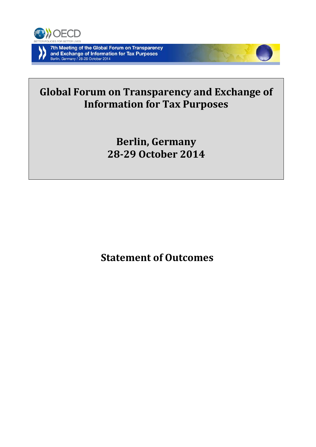



# **Global Forum on Transparency and Exchange of Information for Tax Purposes**

**Berlin, Germany 28-29 October 2014**

**Statement of Outcomes**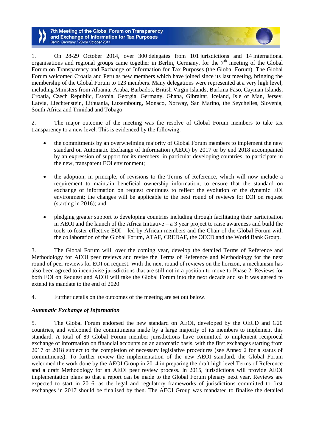1. On 28-29 October 2014, over 300 delegates from 101 jurisdictions and 14 international organisations and regional groups came together in Berlin, Germany, for the  $7<sup>th</sup>$  meeting of the Global Forum on Transparency and Exchange of Information for Tax Purposes (the Global Forum). The Global Forum welcomed Croatia and Peru as new members which have joined since its last meeting, bringing the membership of the Global Forum to 123 members. Many delegations were represented at a very high level, including Ministers from Albania, Aruba, Barbados, British Virgin Islands, Burkina Faso, Cayman Islands, Croatia, Czech Republic, Estonia, Georgia, Germany, Ghana, Gibraltar, Iceland, Isle of Man, Jersey, Latvia, Liechtenstein, Lithuania, Luxembourg, Monaco, Norway, San Marino, the Seychelles, Slovenia, South Africa and Trinidad and Tobago.

2. The major outcome of the meeting was the resolve of Global Forum members to take tax transparency to a new level. This is evidenced by the following:

- the commitments by an overwhelming majority of Global Forum members to implement the new standard on Automatic Exchange of Information (AEOI) by 2017 or by end 2018 accompanied by an expression of support for its members, in particular developing countries, to participate in the new, transparent EOI environment;
- the adoption, in principle, of revisions to the Terms of Reference, which will now include a requirement to maintain beneficial ownership information, to ensure that the standard on exchange of information on request continues to reflect the evolution of the dynamic EOI environment; the changes will be applicable to the next round of reviews for EOI on request (starting in 2016); and
- pledging greater support to developing countries including through facilitating their participation in AEOI and the launch of the Africa Initiative  $-$  a 3 year project to raise awareness and build the tools to foster effective EOI – led by African members and the Chair of the Global Forum with the collaboration of the Global Forum, ATAF, CREDAF, the OECD and the World Bank Group.

3. The Global Forum will, over the coming year, develop the detailed Terms of Reference and Methodology for AEOI peer reviews and revise the Terms of Reference and Methodology for the next round of peer reviews for EOI on request. With the next round of reviews on the horizon, a mechanism has also been agreed to incentivise jurisdictions that are still not in a position to move to Phase 2. Reviews for both EOI on Request and AEOI will take the Global Forum into the next decade and so it was agreed to extend its mandate to the end of 2020.

4. Further details on the outcomes of the meeting are set out below.

# *Automatic Exchange of Information*

5. The Global Forum endorsed the new standard on AEOI, developed by the OECD and G20 countries, and welcomed the commitments made by a large majority of its members to implement this standard. A total of 89 Global Forum member jurisdictions have committed to implement reciprocal exchange of information on financial accounts on an automatic basis, with the first exchanges starting from 2017 or 2018 subject to the completion of necessary legislative procedures (see Annex 2 for a status of commitments). To further review the implementation of the new AEOI standard, the Global Forum welcomed the work done by the AEOI Group in 2014 in preparing the draft high level Terms of Reference and a draft Methodology for an AEOI peer review process. In 2015, jurisdictions will provide AEOI implementation plans so that a report can be made to the Global Forum plenary next year. Reviews are expected to start in 2016, as the legal and regulatory frameworks of jurisdictions committed to first exchanges in 2017 should be finalised by then. The AEOI Group was mandated to finalise the detailed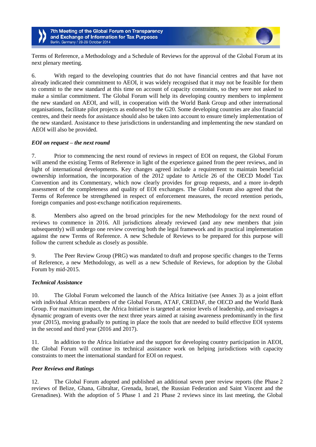Terms of Reference, a Methodology and a Schedule of Reviews for the approval of the Global Forum at its next plenary meeting.

6. With regard to the developing countries that do not have financial centres and that have not already indicated their commitment to AEOI, it was widely recognised that it may not be feasible for them to commit to the new standard at this time on account of capacity constraints, so they were not asked to make a similar commitment. The Global Forum will help its developing country members to implement the new standard on AEOI, and will, in cooperation with the World Bank Group and other international organisations, facilitate pilot projects as endorsed by the G20. Some developing countries are also financial centres, and their needs for assistance should also be taken into account to ensure timely implementation of the new standard. Assistance to these jurisdictions in understanding and implementing the new standard on AEOI will also be provided.

## *EOI on request – the next round*

7. Prior to commencing the next round of reviews in respect of EOI on request, the Global Forum will amend the existing Terms of Reference in light of the experience gained from the peer reviews, and in light of international developments. Key changes agreed include a requirement to maintain beneficial ownership information, the incorporation of the 2012 update to Article 26 of the OECD Model Tax Convention and its Commentary, which now clearly provides for group requests, and a more in-depth assessment of the completeness and quality of EOI exchanges. The Global Forum also agreed that the Terms of Reference be strengthened in respect of enforcement measures, the record retention periods, foreign companies and post-exchange notification requirements.

8. Members also agreed on the broad principles for the new Methodology for the next round of reviews to commence in 2016. All jurisdictions already reviewed (and any new members that join subsequently) will undergo one review covering both the legal framework and its practical implementation against the new Terms of Reference. A new Schedule of Reviews to be prepared for this purpose will follow the current schedule as closely as possible.

9. The Peer Review Group (PRG) was mandated to draft and propose specific changes to the Terms of Reference, a new Methodology, as well as a new Schedule of Reviews, for adoption by the Global Forum by mid-2015.

### *Technical Assistance*

10. The Global Forum welcomed the launch of the Africa Initiative (see Annex 3) as a joint effort with individual African members of the Global Forum, ATAF, CREDAF, the OECD and the World Bank Group. For maximum impact, the Africa Initiative is targeted at senior levels of leadership, and envisages a dynamic program of events over the next three years aimed at raising awareness predominantly in the first year (2015), moving gradually to putting in place the tools that are needed to build effective EOI systems in the second and third year (2016 and 2017).

11. In addition to the Africa Initiative and the support for developing country participation in AEOI, the Global Forum will continue its technical assistance work on helping jurisdictions with capacity constraints to meet the international standard for EOI on request.

### *Peer Reviews and Ratings*

12. The Global Forum adopted and published an additional seven peer review reports (the Phase 2 reviews of Belize, Ghana, Gibraltar, Grenada, Israel, the Russian Federation and Saint Vincent and the Grenadines). With the adoption of 5 Phase 1 and 21 Phase 2 reviews since its last meeting, the Global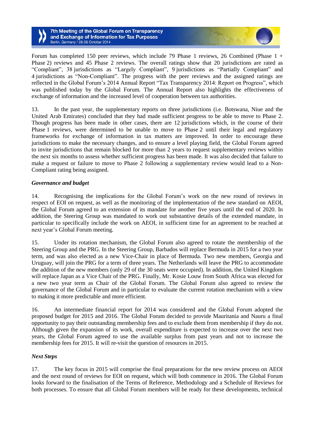Forum has completed 150 peer reviews, which include 79 Phase 1 reviews, 26 Combined (Phase 1 + Phase 2) reviews and 45 Phase 2 reviews. The overall ratings show that 20 jurisdictions are rated as "Compliant", 38 jurisdictions as "Largely Compliant", 9 jurisdictions as "Partially Compliant" and 4 jurisdictions as "Non-Compliant". The progress with the peer reviews and the assigned ratings are reflected in the Global Forum's 2014 Annual Report "Tax Transparency 2014: Report on Progress", which was published today by the Global Forum. The Annual Report also highlights the effectiveness of exchange of information and the increased level of cooperation between tax authorities.

13. In the past year, the supplementary reports on three jurisdictions (i.e. Botswana, Niue and the United Arab Emirates) concluded that they had made sufficient progress to be able to move to Phase 2. Though progress has been made in other cases, there are 12 jurisdictions which, in the course of their Phase 1 reviews, were determined to be unable to move to Phase 2 until their legal and regulatory frameworks for exchange of information in tax matters are improved. In order to encourage these jurisdictions to make the necessary changes, and to ensure a level playing field, the Global Forum agreed to invite jurisdictions that remain blocked for more than 2 years to request supplementary reviews within the next six months to assess whether sufficient progress has been made. It was also decided that failure to make a request or failure to move to Phase 2 following a supplementary review would lead to a Non-Compliant rating being assigned.

## *Governance and budget*

14. Recognising the implications for the Global Forum's work on the new round of reviews in respect of EOI on request, as well as the monitoring of the implementation of the new standard on AEOI, the Global Forum agreed to an extension of its mandate for another five years until the end of 2020. In addition, the Steering Group was mandated to work out substantive details of the extended mandate, in particular to specifically include the work on AEOI, in sufficient time for an agreement to be reached at next year's Global Forum meeting.

15. Under its rotation mechanism, the Global Forum also agreed to rotate the membership of the Steering Group and the PRG. In the Steering Group, Barbados will replace Bermuda in 2015 for a two year term, and was also elected as a new Vice-Chair in place of Bermuda. Two new members, Georgia and Uruguay, will join the PRG for a term of three years. The Netherlands will leave the PRG to accommodate the addition of the new members (only 29 of the 30 seats were occupied). In addition, the United Kingdom will replace Japan as a Vice Chair of the PRG. Finally, Mr. Kosie Louw from South Africa was elected for a new two year term as Chair of the Global Forum. The Global Forum also agreed to review the governance of the Global Forum and in particular to evaluate the current rotation mechanism with a view to making it more predictable and more efficient.

16. An intermediate financial report for 2014 was considered and the Global Forum adopted the proposed budget for 2015 and 2016. The Global Forum decided to provide Mauritania and Nauru a final opportunity to pay their outstanding membership fees and to exclude them from membership if they do not. Although given the expansion of its work, overall expenditure is expected to increase over the next two years, the Global Forum agreed to use the available surplus from past years and not to increase the membership fees for 2015. It will re-visit the question of resources in 2015.

### *Next Steps*

17. The key focus in 2015 will comprise the final preparations for the new review process on AEOI and the next round of reviews for EOI on request, which will both commence in 2016. The Global Forum looks forward to the finalisation of the Terms of Reference, Methodology and a Schedule of Reviews for both processes. To ensure that all Global Forum members will be ready for these developments, technical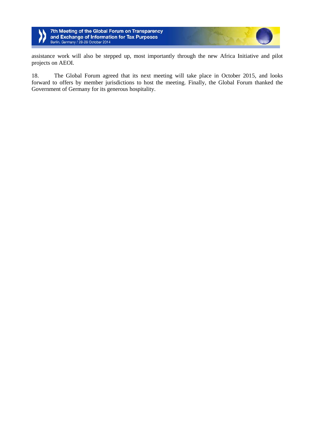

assistance work will also be stepped up, most importantly through the new Africa Initiative and pilot projects on AEOI.

18. The Global Forum agreed that its next meeting will take place in October 2015, and looks forward to offers by member jurisdictions to host the meeting. Finally, the Global Forum thanked the Government of Germany for its generous hospitality.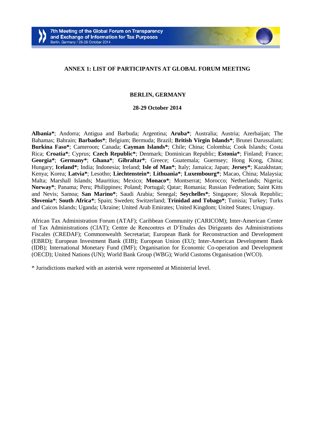

## **ANNEX 1: LIST OF PARTICIPANTS AT GLOBAL FORUM MEETING**

## **BERLIN, GERMANY**

#### **28-29 October 2014**

**Albania\***; Andorra; Antigua and Barbuda; Argentina; **Aruba\***; Australia; Austria; Azerbaijan; The Bahamas; Bahrain; **Barbados\***; Belgium; Bermuda; Brazil; **British Virgin Islands\***; Brunei Darussalam; **Burkina Faso\***; Cameroon; Canada; **Cayman Islands\***; Chile; China; Colombia; Cook Islands; Costa Rica; **Croatia\***; Cyprus; **Czech Republic\***; Denmark; Dominican Republic; **Estonia\***; Finland; France; **Georgia\***; **Germany\***; **Ghana\***; **Gibraltar\***; Greece; Guatemala; Guernsey; Hong Kong, China; Hungary; **Iceland\***; India; Indonesia; Ireland; **Isle of Man\***; Italy; Jamaica; Japan; **Jersey\***; Kazakhstan; Kenya; Korea; **Latvia\***; Lesotho; **Liechtenstein\***; **Lithuania\***; **Luxembourg\***; Macao, China; Malaysia; Malta; Marshall Islands; Mauritius; Mexico; **Monaco\***; Montserrat; Morocco; Netherlands; Nigeria; **Norway\***; Panama; Peru; Philippines; Poland; Portugal; Qatar; Romania; Russian Federation; Saint Kitts and Nevis; Samoa; **San Marino\***; Saudi Arabia; Senegal; **Seychelles\***; Singapore; Slovak Republic; **Slovenia\***; **South Africa\***; Spain; Sweden; Switzerland; **Trinidad and Tobago\***; Tunisia; Turkey; Turks and Caicos Islands; Uganda; Ukraine; United Arab Emirates; United Kingdom; United States; Uruguay.

African Tax Administration Forum (ATAF); Caribbean Community (CARICOM); Inter-American Center of Tax Administrations (CIAT); Centre de Rencontres et D'Etudes des Dirigeants des Administrations Fiscales (CREDAF); Commonwealth Secretariat; European Bank for Reconstruction and Development (EBRD); European Investment Bank (EIB); European Union (EU); Inter-American Development Bank (IDB); International Monetary Fund (IMF); Organisation for Economic Co-operation and Development (OECD); United Nations (UN); World Bank Group (WBG); World Customs Organisation (WCO).

\* Jurisdictions marked with an asterisk were represented at Ministerial level.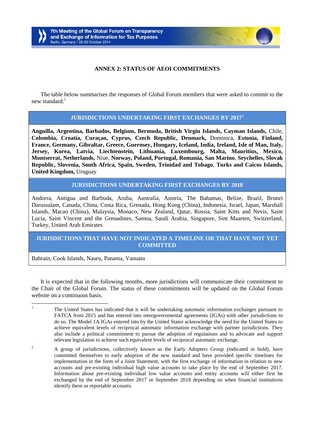# **ANNEX 2: STATUS OF AEOI COMMITMENTS**

The table below summarises the responses of Global Forum members that were asked to commit to the new standard.<sup>1</sup>

# **JURISDICTIONS UNDERTAKING FIRST EXCHANGES BY 2017**<sup>2</sup>

**Anguilla, Argentina, Barbados, Belgium, Bermuda, British Virgin Islands, Cayman Islands,** Chile, **Colombia, Croatia, Curaçao, Cyprus, Czech Republic, Denmark,** Dominica, **Estonia, Finland, France, Germany, Gibraltar, Greece, Guernsey, Hungary, Iceland, India, Ireland, Isle of Man, Italy, Jersey, Korea, Latvia, Liechtenstein, Lithuania, Luxembourg, Malta, Mauritius, Mexico, Montserrat, Netherlands,** Niue, **Norway, Poland, Portugal, Romania, San Marino**, **Seychelles, Slovak Republic, Slovenia, South Africa, Spain, Sweden, Trinidad and Tobago**, **Turks and Caicos Islands, United Kingdom,** Uruguay

# **JURISDICTIONS UNDERTAKING FIRST EXCHANGES BY 2018**

Andorra, Antigua and Barbuda, Aruba, Australia, Austria, The Bahamas, Belize, Brazil, Brunei Darussalam, Canada, China, Costa Rica, Grenada, Hong Kong (China), Indonesia, Israel, Japan, Marshall Islands, Macao (China), Malaysia, Monaco, New Zealand, Qatar, Russia, Saint Kitts and Nevis, Saint Lucia, Saint Vincent and the Grenadines, Samoa, Saudi Arabia, Singapore, Sint Maarten, Switzerland, Turkey, United Arab Emirates

# **JURISDICTIONS THAT HAVE NOT INDICATED A TIMELINE OR THAT HAVE NOT YET COMMITTED**

Bahrain, Cook Islands, Nauru, Panama, Vanuatu

It is expected that in the following months, more jurisdictions will communicate their commitment to the Chair of the Global Forum. The status of these commitments will be updated on the Global Forum website on a continuous basis.

 $\mathbf{1}$ <sup>1</sup> The United States has indicated that it will be undertaking automatic information exchanges pursuant to FATCA from 2015 and has entered into intergovernmental agreements (IGAs) with other jurisdictions to do so. The Model 1A IGAs entered into by the United States acknowledge the need for the United States to achieve equivalent levels of reciprocal automatic information exchange with partner jurisdictions. They also include a political commitment to pursue the adoption of regulations and to advocate and support relevant legislation to achieve such equivalent levels of reciprocal automatic exchange.

<sup>&</sup>lt;sup>2</sup> A group of jurisdictions, collectively known as the Early Adopters Group (indicated in bold), have committed themselves to early adoption of the new standard and have provided specific timelines for implementation in the form of a Joint Statement, with the first exchange of information in relation to new accounts and pre-existing individual high value accounts to take place by the end of September 2017. Information about pre-existing individual low value accounts and entity accounts will either first be exchanged by the end of September 2017 or September 2018 depending on when financial institutions identify them as reportable accounts.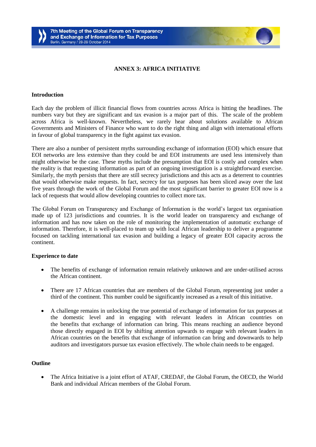## **ANNEX 3: AFRICA INITIATIVE**

#### **Introduction**

Each day the problem of illicit financial flows from countries across Africa is hitting the headlines. The numbers vary but they are significant and tax evasion is a major part of this. The scale of the problem across Africa is well-known. Nevertheless, we rarely hear about solutions available to African Governments and Ministers of Finance who want to do the right thing and align with international efforts in favour of global transparency in the fight against tax evasion.

There are also a number of persistent myths surrounding exchange of information (EOI) which ensure that EOI networks are less extensive than they could be and EOI instruments are used less intensively than might otherwise be the case. These myths include the presumption that EOI is costly and complex when the reality is that requesting information as part of an ongoing investigation is a straightforward exercise. Similarly, the myth persists that there are still secrecy jurisdictions and this acts as a deterrent to countries that would otherwise make requests. In fact, secrecy for tax purposes has been sliced away over the last five years through the work of the Global Forum and the most significant barrier to greater EOI now is a lack of requests that would allow developing countries to collect more tax.

The Global Forum on Transparency and Exchange of Information is the world's largest tax organisation made up of 123 jurisdictions and countries. It is the world leader on transparency and exchange of information and has now taken on the role of monitoring the implementation of automatic exchange of information. Therefore, it is well-placed to team up with local African leadership to deliver a programme focused on tackling international tax evasion and building a legacy of greater EOI capacity across the continent.

#### **Experience to date**

- The benefits of exchange of information remain relatively unknown and are under-utilised across the African continent.
- There are 17 African countries that are members of the Global Forum, representing just under a third of the continent. This number could be significantly increased as a result of this initiative.
- A challenge remains in unlocking the true potential of exchange of information for tax purposes at the domestic level and in engaging with relevant leaders in African countries on the benefits that exchange of information can bring. This means reaching an audience beyond those directly engaged in EOI by shifting attention upwards to engage with relevant leaders in African countries on the benefits that exchange of information can bring and downwards to help auditors and investigators pursue tax evasion effectively. The whole chain needs to be engaged.

#### **Outline**

 The Africa Initiative is a joint effort of ATAF, CREDAF, the Global Forum, the OECD, the World Bank and individual African members of the Global Forum.